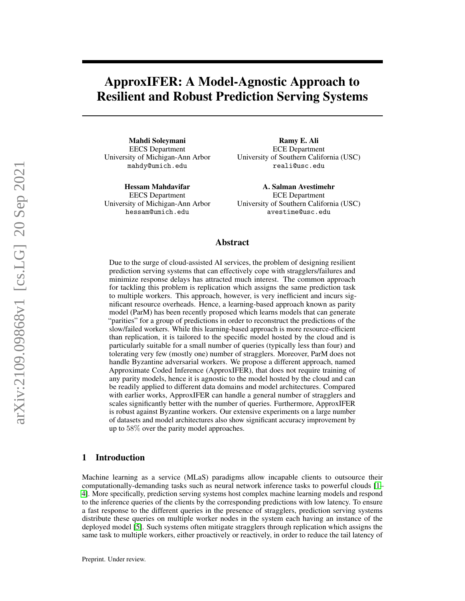# <span id="page-0-0"></span>ApproxIFER: A Model-Agnostic Approach to Resilient and Robust Prediction Serving Systems

Mahdi Soleymani EECS Department University of Michigan-Ann Arbor mahdy@umich.edu

Hessam Mahdavifar EECS Department University of Michigan-Ann Arbor hessam@umich.edu

Ramy E. Ali ECE Department University of Southern California (USC) reali@usc.edu

A. Salman Avestimehr ECE Department University of Southern California (USC) avestime@usc.edu

## Abstract

Due to the surge of cloud-assisted AI services, the problem of designing resilient prediction serving systems that can effectively cope with stragglers/failures and minimize response delays has attracted much interest. The common approach for tackling this problem is replication which assigns the same prediction task to multiple workers. This approach, however, is very inefficient and incurs significant resource overheads. Hence, a learning-based approach known as parity model (ParM) has been recently proposed which learns models that can generate "parities" for a group of predictions in order to reconstruct the predictions of the slow/failed workers. While this learning-based approach is more resource-efficient than replication, it is tailored to the specific model hosted by the cloud and is particularly suitable for a small number of queries (typically less than four) and tolerating very few (mostly one) number of stragglers. Moreover, ParM does not handle Byzantine adversarial workers. We propose a different approach, named Approximate Coded Inference (ApproxIFER), that does not require training of any parity models, hence it is agnostic to the model hosted by the cloud and can be readily applied to different data domains and model architectures. Compared with earlier works, ApproxIFER can handle a general number of stragglers and scales significantly better with the number of queries. Furthermore, ApproxIFER is robust against Byzantine workers. Our extensive experiments on a large number of datasets and model architectures also show significant accuracy improvement by up to 58% over the parity model approaches.

## 1 Introduction

Machine learning as a service (MLaS) paradigms allow incapable clients to outsource their computationally-demanding tasks such as neural network inference tasks to powerful clouds [\[1–](#page-9-0) [4\]](#page-9-1). More specifically, prediction serving systems host complex machine learning models and respond to the inference queries of the clients by the corresponding predictions with low latency. To ensure a fast response to the different queries in the presence of stragglers, prediction serving systems distribute these queries on multiple worker nodes in the system each having an instance of the deployed model [\[5\]](#page-9-2). Such systems often mitigate stragglers through replication which assigns the same task to multiple workers, either proactively or reactively, in order to reduce the tail latency of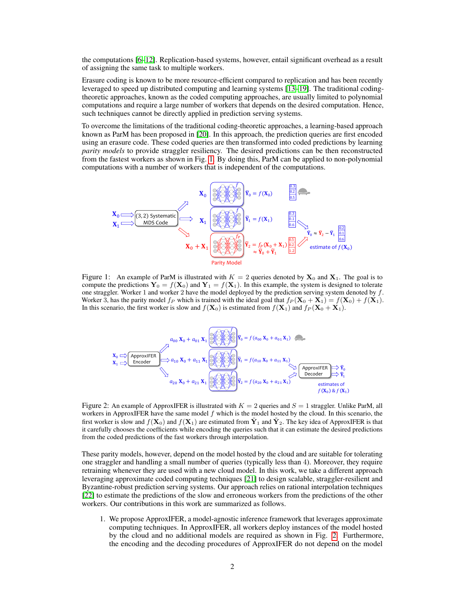the computations [\[6](#page-9-3)[–12\]](#page-9-4). Replication-based systems, however, entail significant overhead as a result of assigning the same task to multiple workers.

Erasure coding is known to be more resource-efficient compared to replication and has been recently leveraged to speed up distributed computing and learning systems [\[13–](#page-9-5)[19\]](#page-10-0). The traditional codingtheoretic approaches, known as the coded computing approaches, are usually limited to polynomial computations and require a large number of workers that depends on the desired computation. Hence, such techniques cannot be directly applied in prediction serving systems.

To overcome the limitations of the traditional coding-theoretic approaches, a learning-based approach known as ParM has been proposed in [\[20\]](#page-10-1). In this approach, the prediction queries are first encoded using an erasure code. These coded queries are then transformed into coded predictions by learning *parity models* to provide straggler resiliency. The desired predictions can be then reconstructed from the fastest workers as shown in Fig. [1.](#page-1-0) By doing this, ParM can be applied to non-polynomial computations with a number of workers that is independent of the computations.



Figure 1: An example of ParM is illustrated with  $K = 2$  queries denoted by  $X_0$  and  $X_1$ . The goal is to compute the predictions  $Y_0 = f(X_0)$  and  $Y_1 = f(X_1)$ . In this example, the system is designed to tolerate one straggler. Worker 1 and worker 2 have the model deployed by the prediction serving system denoted by  $f$ . Worker 3, has the parity model  $f_P$  which is trained with the ideal goal that  $f_P(\mathbf{X}_0 + \mathbf{X}_1) = f(\mathbf{X}_0) + f(\mathbf{X}_1)$ . In this scenario, the first worker is slow and  $f(\mathbf{X}_0)$  is estimated from  $f(\mathbf{X}_1)$  and  $f_P(\mathbf{X}_0 + \mathbf{X}_1)$ .

<span id="page-1-1"></span><span id="page-1-0"></span>

Figure 2: An example of ApproxIFER is illustrated with  $K = 2$  queries and  $S = 1$  straggler. Unlike ParM, all workers in ApproxIFER have the same model  $f$  which is the model hosted by the cloud. In this scenario, the first worker is slow and  $f(\mathbf{X}_0)$  and  $f(\mathbf{X}_1)$  are estimated from  $\tilde{\mathbf{Y}}_1$  and  $\tilde{\mathbf{Y}}_2$ . The key idea of ApproxIFER is that it carefully chooses the coefficients while encoding the queries such that it can estimate the desired predictions from the coded predictions of the fast workers through interpolation.

These parity models, however, depend on the model hosted by the cloud and are suitable for tolerating one straggler and handling a small number of queries (typically less than 4). Moreover, they require retraining whenever they are used with a new cloud model. In this work, we take a different approach leveraging approximate coded computing techniques [\[21\]](#page-10-2) to design scalable, straggler-resilient and Byzantine-robust prediction serving systems. Our approach relies on rational interpolation techniques [\[22\]](#page-10-3) to estimate the predictions of the slow and erroneous workers from the predictions of the other workers. Our contributions in this work are summarized as follows.

1. We propose ApproxIFER, a model-agnostic inference framework that leverages approximate computing techniques. In ApproxIFER, all workers deploy instances of the model hosted by the cloud and no additional models are required as shown in Fig. [2.](#page-1-1) Furthermore, the encoding and the decoding procedures of ApproxIFER do not depend on the model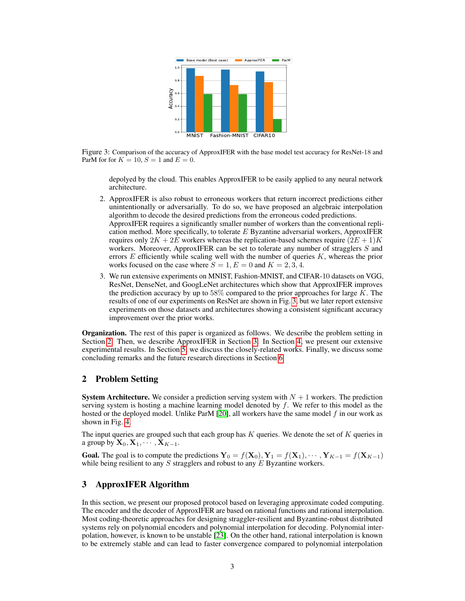

<span id="page-2-0"></span>Figure 3: Comparison of the accuracy of ApproxIFER with the base model test accuracy for ResNet-18 and ParM for for  $K = 10$ ,  $S = 1$  and  $E = 0$ .

depolyed by the cloud. This enables ApproxIFER to be easily applied to any neural network architecture.

2. ApproxIFER is also robust to erroneous workers that return incorrect predictions either unintentionally or adversarially. To do so, we have proposed an algebraic interpolation algorithm to decode the desired predictions from the erroneous coded predictions. ApproxIFER requires a significantly smaller number of workers than the conventional repli-

cation method. More specifically, to tolerate  $E$  Byzantine adversarial workers, ApproxIFER requires only  $2K + 2E$  workers whereas the replication-based schemes require  $(2E + 1)K$ workers. Moreover, ApproxIFER can be set to tolerate any number of stragglers  $S$  and errors  $E$  efficiently while scaling well with the number of queries  $K$ , whereas the prior works focused on the case where  $S = 1, E = 0$  and  $K = 2, 3, 4$ .

3. We run extensive experiments on MNIST, Fashion-MNIST, and CIFAR-10 datasets on VGG, ResNet, DenseNet, and GoogLeNet architectures which show that ApproxIFER improves the prediction accuracy by up to  $58\%$  compared to the prior approaches for large K. The results of one of our experiments on ResNet are shown in Fig. [3,](#page-2-0) but we later report extensive experiments on those datasets and architectures showing a consistent significant accuracy improvement over the prior works.

Organization. The rest of this paper is organized as follows. We describe the problem setting in Section [2.](#page-2-1) Then, we describe ApproxIFER in Section [3.](#page-2-2) In Section [4,](#page-5-0) we present our extensive experimental results. In Section [5,](#page-8-0) we discuss the closely-related works. Finally, we discuss some concluding remarks and the future research directions in Section [6.](#page-8-1)

## <span id="page-2-1"></span>2 Problem Setting

**System Architecture.** We consider a prediction serving system with  $N + 1$  workers. The prediction serving system is hosting a machine learning model denoted by  $f$ . We refer to this model as the hosted or the deployed model. Unlike ParM  $[20]$ , all workers have the same model  $f$  in our work as shown in Fig. [4.](#page-3-0)

The input queries are grouped such that each group has  $K$  queries. We denote the set of  $K$  queries in a group by  $\mathbf{X}_0, \mathbf{X}_1, \cdots, \mathbf{X}_{K-1}$ .

**Goal.** The goal is to compute the predictions  $\mathbf{Y}_0 = f(\mathbf{X}_0), \mathbf{Y}_1 = f(\mathbf{X}_1), \cdots, \mathbf{Y}_{K-1} = f(\mathbf{X}_{K-1})$ while being resilient to any  $S$  stragglers and robust to any  $E$  Byzantine workers.

# <span id="page-2-2"></span>3 ApproxIFER Algorithm

In this section, we present our proposed protocol based on leveraging approximate coded computing. The encoder and the decoder of ApproxIFER are based on rational functions and rational interpolation. Most coding-theoretic approaches for designing straggler-resilient and Byzantine-robust distributed systems rely on polynomial encoders and polynomial interpolation for decoding. Polynomial interpolation, however, is known to be unstable [\[23\]](#page-10-4). On the other hand, rational interpolation is known to be extremely stable and can lead to faster convergence compared to polynomial interpolation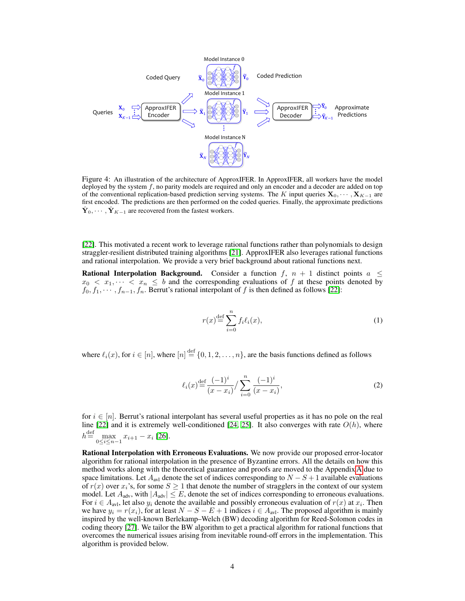

Figure 4: An illustration of the architecture of ApproxIFER. In ApproxIFER, all workers have the model deployed by the system  $f$ , no parity models are required and only an encoder and a decoder are added on top of the conventional replication-based prediction serving systems. The K input queries  $\mathbf{X}_0, \dots, \mathbf{X}_{K-1}$  are first encoded. The predictions are then performed on the coded queries. Finally, the approximate predictions  $\hat{\mathbf{Y}}_0, \cdots, \hat{\mathbf{Y}}_{K-1}$  are recovered from the fastest workers.

[\[22\]](#page-10-3). This motivated a recent work to leverage rational functions rather than polynomials to design straggler-resilient distributed training algorithms [\[21\]](#page-10-2). ApproxIFER also leverages rational functions and rational interpolation. We provide a very brief background about rational functions next.

**Rational Interpolation Background.** Consider a function  $f$ ,  $n + 1$  distinct points  $a \leq$  $x_0 < x_1, \dots < x_n \leq b$  and the corresponding evaluations of f at these points denoted by  $f_0, f_1, \dots, f_{n-1}, f_n$ . Berrut's rational interpolant of f is then defined as follows [\[22\]](#page-10-3):

<span id="page-3-0"></span>
$$
r(x) \stackrel{\text{def}}{=} \sum_{i=0}^{n} f_i \ell_i(x),\tag{1}
$$

where  $\ell_i(x)$ , for  $i \in [n]$ , where  $[n] \stackrel{\text{def}}{=} \{0, 1, 2, \ldots, n\}$ , are the basis functions defined as follows

$$
\ell_i(x) \stackrel{\text{def}}{=} \frac{(-1)^i}{(x - x_i)} / \sum_{i=0}^n \frac{(-1)^i}{(x - x_i)},\tag{2}
$$

for  $i \in [n]$ . Berrut's rational interpolant has several useful properties as it has no pole on the real line [\[22\]](#page-10-3) and it is extremely well-conditioned [\[24,](#page-10-5) [25\]](#page-10-6). It also converges with rate  $O(h)$ , where  $h^{\text{def}} = \max_{0 \le i \le n-1} x_{i+1} - x_i$  [\[26\]](#page-10-7).

Rational Interpolation with Erroneous Evaluations. We now provide our proposed error-locator algorithm for rational interpolation in the presence of Byzantine errors. All the details on how this method works along with the theoretical guarantee and proofs are moved to the Appendix [A](#page-13-0) due to space limitations. Let  $A_{\text{avl}}$  denote the set of indices corresponding to  $N-S+1$  available evaluations of  $r(x)$  over  $x_i$ 's, for some  $S \ge 1$  that denote the number of stragglers in the context of our system model. Let  $A_{\text{adv}}$ , with  $|A_{\text{adv}}| \leq E$ , denote the set of indices corresponding to erroneous evaluations. For  $i \in A_{\text{av1}}$ , let also  $y_i$  denote the available and possibly erroneous evaluation of  $r(x)$  at  $x_i$ . Then we have  $y_i = r(x_i)$ , for at least  $N - S - E + 1$  indices  $i \in A_{avl}$ . The proposed algorithm is mainly inspired by the well-known Berlekamp–Welch (BW) decoding algorithm for Reed-Solomon codes in coding theory [\[27\]](#page-10-8). We tailor the BW algorithm to get a practical algorithm for rational functions that overcomes the numerical issues arising from inevitable round-off errors in the implementation. This algorithm is provided below.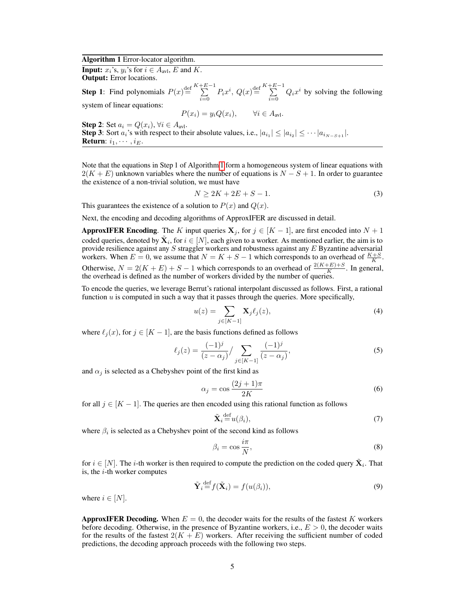#### Algorithm 1 Error-locator algorithm.

**Input:**  $x_i$ 's,  $y_i$ 's for  $i \in A_{\text{avl}}$ , E and K. Output: Error locations.

**Step 1**: Find polynomials  $P(x) \stackrel{\text{def}}{=} \sum^{K+E-1}$  $\sum_{i=0}^{+E-1} P_i x^i$ ,  $Q(x) \stackrel{\text{def}}{=} \sum_{i=0}^{K+E-1}$  $\sum_{i=0}$   $Q_i x^i$  by solving the following system of linear equations:

<span id="page-4-0"></span>
$$
P(x_i) = y_i Q(x_i), \qquad \forall i \in A_{\text{av1}}.
$$

Step 2: Set  $a_i = Q(x_i)$ ,  $\forall i \in A_{\text{avl}}$ .

**Step 3**: Sort  $a_i$ 's with respect to their absolute values, i.e.,  $|a_{i_1}| \leq |a_{i_2}| \leq \cdots |a_{i_{N-S+1}}|$ . **Return:**  $i_1, \cdots, i_E$ .

Note that the equations in Step 1 of Algorithm [1](#page-4-0) form a homogeneous system of linear equations with  $2(K + E)$  unknown variables where the number of equations is  $N - S + 1$ . In order to guarantee the existence of a non-trivial solution, we must have

$$
N \ge 2K + 2E + S - 1.\tag{3}
$$

This guarantees the existence of a solution to  $P(x)$  and  $Q(x)$ .

Next, the encoding and decoding algorithms of ApproxIFER are discussed in detail.

**ApproxIFER Encoding.** The K input queries  $X_j$ , for  $j \in [K-1]$ , are first encoded into  $N+1$ coded queries, denoted by  $\tilde{\mathbf{X}}_i$ , for  $i \in [N]$ , each given to a worker. As mentioned earlier, the aim is to provide resilience against any S straggler workers and robustness against any E Byzantine adversarial workers. When  $E = 0$ , we assume that  $N = K + S - 1$  which corresponds to an overhead of  $\frac{K + S}{K}$ . Otherwise,  $N = 2(K + E) + S - 1$  which corresponds to an overhead of  $\frac{2(K+E)+S}{K}$ . In general, the overhead is defined as the number of workers divided by the number of queries.

To encode the queries, we leverage Berrut's rational interpolant discussed as follows. First, a rational function  $u$  is computed in such a way that it passes through the queries. More specifically,

$$
u(z) = \sum_{j \in [K-1]} \mathbf{X}_j \ell_j(z),\tag{4}
$$

where  $\ell_i (x)$ , for  $j \in [K - 1]$ , are the basis functions defined as follows

$$
\ell_j(z) = \frac{(-1)^j}{(z - \alpha_j)} / \sum_{j \in [K-1]} \frac{(-1)^j}{(z - \alpha_j)},\tag{5}
$$

and  $\alpha_i$  is selected as a Chebyshev point of the first kind as

$$
\alpha_j = \cos \frac{(2j+1)\pi}{2K} \tag{6}
$$

for all  $j \in [K-1]$ . The queries are then encoded using this rational function as follows

<span id="page-4-1"></span>
$$
\tilde{\mathbf{X}}_i \stackrel{\text{def}}{=} u(\beta_i),\tag{7}
$$

where  $\beta_i$  is selected as a Chebyshev point of the second kind as follows

$$
\beta_i = \cos \frac{i\pi}{N},\tag{8}
$$

for  $i \in [N]$ . The *i*-th worker is then required to compute the prediction on the coded query  $\tilde{\mathbf{X}}_i$ . That is, the  $i$ -th worker computes

$$
\tilde{\mathbf{Y}}_i \stackrel{\text{def}}{=} f(\tilde{\mathbf{X}}_i) = f(u(\beta_i)),\tag{9}
$$

where  $i \in [N]$ .

**ApproxIFER Decoding.** When  $E = 0$ , the decoder waits for the results of the fastest K workers before decoding. Otherwise, in the presence of Byzantine workers, i.e.,  $E > 0$ , the decoder waits for the results of the fastest  $2(K + E)$  workers. After receiving the sufficient number of coded predictions, the decoding approach proceeds with the following two steps.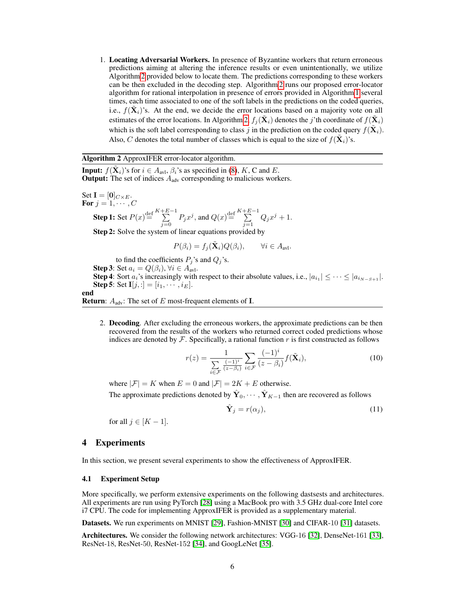1. Locating Adversarial Workers. In presence of Byzantine workers that return erroneous predictions aiming at altering the inference results or even unintentionally, we utilize Algorithm [2](#page-5-1) provided below to locate them. The predictions corresponding to these workers can be then excluded in the decoding step. Algorithm [2](#page-5-1) runs our proposed error-locator algorithm for rational interpolation in presence of errors provided in Algorithm [1](#page-4-0) several times, each time associated to one of the soft labels in the predictions on the coded queries, i.e.,  $f(\tilde{\mathbf{X}}_i)$ 's. At the end, we decide the error locations based on a majority vote on all estimates of the error locations. In Algorithm [2,](#page-5-1)  $f_j(\tilde{\mathbf{X}}_i)$  denotes the j'th coordinate of  $f(\tilde{\mathbf{X}}_i)$ which is the soft label corresponding to class j in the prediction on the coded query  $f(\tilde{\mathbf{X}}_i)$ . Also, C denotes the total number of classes which is equal to the size of  $f(\tilde{\mathbf{X}}_i)$ 's.

## Algorithm 2 ApproxIFER error-locator algorithm.

**Input:**  $f(\tilde{\mathbf{X}}_i)$ 's for  $i \in A_{\text{avl}}, \beta_i$ 's as specified in [\(8\)](#page-4-1), K, C and E. **Output:** The set of indices  $A_{adv}$  corresponding to malicious workers.

Set  $I = [0]_{C \times E}$ . For  $j = 1, \cdots, C$ **Step 1:** Set  $P(x) \stackrel{\text{def}}{=} \sum^{K+E-1}$  $\sum_{j=0}^{+E-1} P_j x^j$ , and  $Q(x) \stackrel{\text{def}}{=} \sum_{j=1}^{K+E-1}$  $\sum_{j=1}$   $Q_j x^j + 1.$ Step 2: Solve the system of linear equations provided by

$$
P(\beta_i) = f_j(\tilde{\mathbf{X}}_i) Q(\beta_i), \qquad \forall i \in A_{\text{avl}}.
$$

to find the coefficients  $P_j$ 's and  $Q_j$ 's.

**Step 3**: Set  $a_i = Q(\beta_i)$ ,  $\forall i \in A_{\text{av1}}$ .

**Step 4**: Sort  $a_i$ 's increasingly with respect to their absolute values, i.e.,  $|a_{i_1}| \leq \cdots \leq |a_{i_{N-S+1}}|$ . **Step 5:** Set  $I[j, :] = [i_1, \dots, i_E].$ 

end

**Return:**  $A_{adv}$ : The set of E most-frequent elements of **I**.

2. Decoding. After excluding the erroneous workers, the approximate predictions can be then recovered from the results of the workers who returned correct coded predictions whose indices are denoted by  $\mathcal F$ . Specifically, a rational function r is first constructed as follows

<span id="page-5-1"></span>
$$
r(z) = \frac{1}{\sum_{i \in \mathcal{F}} \frac{(-1)^i}{(z - \beta_i)}} \sum_{i \in \mathcal{F}} \frac{(-1)^i}{(z - \beta_i)} f(\tilde{\mathbf{X}}_i),
$$
(10)

where  $|\mathcal{F}| = K$  when  $E = 0$  and  $|\mathcal{F}| = 2K + E$  otherwise.

The approximate predictions denoted by  $\hat{\mathbf{Y}}_0, \cdots, \hat{\mathbf{Y}}_{K-1}$  then are recovered as follows

$$
\hat{\mathbf{Y}}_j = r(\alpha_j),\tag{11}
$$

for all  $j \in [K-1]$ .

## <span id="page-5-0"></span>4 Experiments

In this section, we present several experiments to show the effectiveness of ApproxIFER.

## 4.1 Experiment Setup

More specifically, we perform extensive experiments on the following dastsests and architectures. All experiments are run using PyTorch [\[28\]](#page-10-9) using a MacBook pro with 3.5 GHz dual-core Intel core i7 CPU. The code for implementing ApproxIFER is provided as a supplementary material.

Datasets. We run experiments on MNIST [\[29\]](#page-10-10), Fashion-MNIST [\[30\]](#page-10-11) and CIFAR-10 [\[31\]](#page-10-12) datasets.

Architectures. We consider the following network architectures: VGG-16 [\[32\]](#page-10-13), DenseNet-161 [\[33\]](#page-10-14), ResNet-18, ResNet-50, ResNet-152 [\[34\]](#page-10-15), and GoogLeNet [\[35\]](#page-10-16).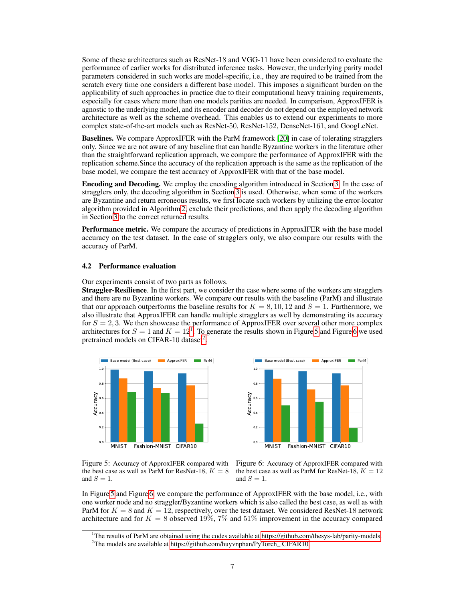Some of these architectures such as ResNet-18 and VGG-11 have been considered to evaluate the performance of earlier works for distributed inference tasks. However, the underlying parity model parameters considered in such works are model-specific, i.e., they are required to be trained from the scratch every time one considers a different base model. This imposes a significant burden on the applicability of such approaches in practice due to their computational heavy training requirements, especially for cases where more than one models parities are needed. In comparison, ApproxIFER is agnostic to the underlying model, and its encoder and decoder do not depend on the employed network architecture as well as the scheme overhead. This enables us to extend our experiments to more complex state-of-the-art models such as ResNet-50, ResNet-152, DenseNet-161, and GoogLeNet.

Baselines. We compare ApproxIFER with the ParM framework [\[20\]](#page-10-1) in case of tolerating stragglers only. Since we are not aware of any baseline that can handle Byzantine workers in the literature other than the straightforward replication approach, we compare the performance of ApproxIFER with the replication scheme.Since the accuracy of the replication approach is the same as the replication of the base model, we compare the test accuracy of ApproxIFER with that of the base model.

Encoding and Decoding. We employ the encoding algorithm introduced in Section [3.](#page-2-2) In the case of stragglers only, the decoding algorithm in Section [3](#page-2-2) is used. Otherwise, when some of the workers are Byzantine and return erroneous results, we first locate such workers by utilizing the error-locator algorithm provided in Algorithm [2,](#page-5-1) exclude their predictions, and then apply the decoding algorithm in Section [3](#page-2-2) to the correct returned results.

**Performance metric.** We compare the accuracy of predictions in ApproxIFER with the base model accuracy on the test dataset. In the case of stragglers only, we also compare our results with the accuracy of ParM.

#### 4.2 Performance evaluation

Our experiments consist of two parts as follows.

**Straggler-Resilience**. In the first part, we consider the case where some of the workers are stragglers and there are no Byzantine workers. We compare our results with the baseline (ParM) and illustrate that our approach outperforms the baseline results for  $K = 8, 10, 12$  and  $S = 1$ . Furthermore, we also illustrate that ApproxIFER can handle multiple stragglers as well by demonstrating its accuracy for  $S = 2, 3$ . We then showcase the performance of ApproxIFER over several other more complex architectures for  $S = 1$  $S = 1$  and  $K = 12^1$ . To generate the results shown in Figure [5](#page-6-1) and Figure [6](#page-6-2) we used pretrained models on CIFAR-10 dataset<sup>[2](#page-6-3)</sup>.





<span id="page-6-1"></span>Figure 5: Accuracy of ApproxIFER compared with the best case as well as ParM for ResNet-18,  $K = 8$ and  $S = 1$ .

<span id="page-6-2"></span>Figure 6: Accuracy of ApproxIFER compared with the best case as well as ParM for ResNet-18,  $K = 12$ and  $S = 1$ .

In Figure [5](#page-6-1) and Figure [6,](#page-6-2) we compare the performance of ApproxIFER with the base model, i.e., with one worker node and no straggler/Byzantine workers which is also called the best case, as well as with ParM for  $K = 8$  and  $K = 12$ , respectively, over the test dataset. We considered ResNet-18 network architecture and for  $K = 8$  observed 19%, 7% and 51% improvement in the accuracy compared

<span id="page-6-0"></span><sup>&</sup>lt;sup>1</sup>The results of ParM are obtained using the codes available at [https://github.com/thesys-lab/parity-models.](#page-0-0)

<span id="page-6-3"></span><sup>&</sup>lt;sup>2</sup>The models are available at https://github.com/huyvnphan/PyTorch\_CIFAR10.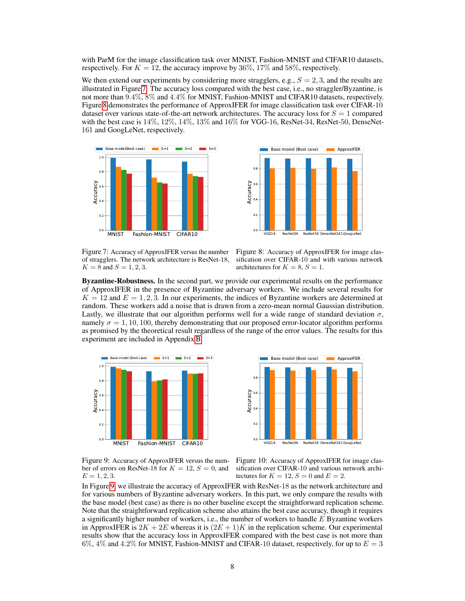with ParM for the image classification task over MNIST, Fashion-MNIST and CIFAR10 datasets, respectively. For  $K = 12$ , the accuracy improve by 36%, 17% and 58%, respectively.

We then extend our experiments by considering more stragglers, e.g.,  $S = 2,3$ , and the results are illustrated in Figure [7.](#page-7-0) The accuracy loss compared with the best case, i.e., no straggler/Byzantine, is not more than 9.4%, 8% and 4.4% for MNIST, Fashion-MNIST and CIFAR10 datasets, respectively. Figure [8](#page-7-1) demonstrates the performance of ApproxIFER for image classification task over CIFAR-10 dataset over various state-of-the-art network architectures. The accuracy loss for  $S = 1$  compared with the best case is  $14\%, 12\%, 14\%, 13\%$  and  $16\%$  for VGG-16, ResNet-34, ResNet-50, DenseNet-161 and GoogLeNet, respectively.





<span id="page-7-0"></span>Figure 7: Accuracy of ApproxIFER versus the number of stragglers. The network architecture is ResNet-18,  $K = 8$  and  $S = 1, 2, 3$ .

<span id="page-7-1"></span>Figure 8: Accuracy of ApproxIFER for image classification over CIFAR-10 and with various network architectures for  $K = 8, S = 1$ .

Byzantine-Robustness. In the second part, we provide our experimental results on the performance of ApproxIFER in the presence of Byzantine adversary workers. We include several results for  $K = 12$  and  $E = 1, 2, 3$ . In our experiments, the indices of Byzantine workers are determined at random. These workers add a noise that is drawn from a zero-mean normal Gaussian distribution. Lastly, we illustrate that our algorithm performs well for a wide range of standard deviation  $\sigma$ , namely  $\sigma = 1, 10, 100$ , thereby demonstrating that our proposed error-locator algorithm performs as promised by the theoretical result regardless of the range of the error values. The results for this experiment are included in Appendix [B.](#page-14-0)





<span id="page-7-2"></span>Figure 9: Accuracy of ApproxIFER versus the number of errors on ResNet-18 for  $K = 12$ ,  $S = 0$ , and  $E = 1, 2, 3.$ 

<span id="page-7-3"></span>Figure 10: Accuracy of ApproxIFER for image classification over CIFAR-10 and various network architectures for  $K = 12$ ,  $S = 0$  and  $E = 2$ .

In Figure [9,](#page-7-2) we illustrate the accuracy of ApproxIFER with ResNet-18 as the network architecture and for various numbers of Byzantine adversary workers. In this part, we only compare the results with the base model (best case) as there is no other baseline except the straightforward replication scheme. Note that the straightforward replication scheme also attains the best case accuracy, though it requires a significantly higher number of workers, i.e., the number of workers to handle  $E$  Byzantine workers in ApproxIFER is  $2K + 2E$  whereas it is  $(2E + 1)K$  in the replication scheme. Our experimental results show that the accuracy loss in ApproxIFER compared with the best case is not more than 6%, 4% and 4.2% for MNIST, Fashion-MNIST and CIFAR-10 dataset, respectively, for up to  $E = 3$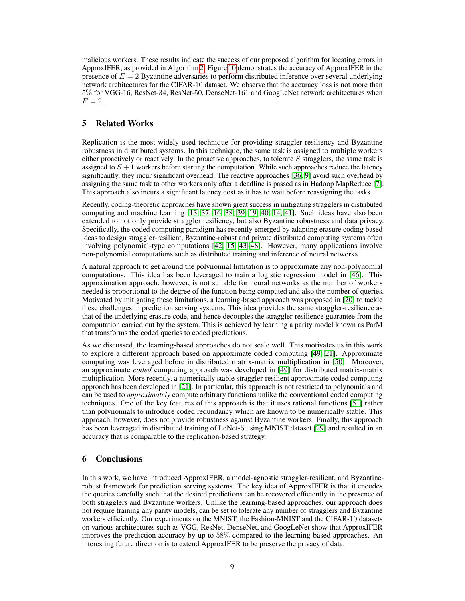malicious workers. These results indicate the success of our proposed algorithm for locating errors in ApproxIFER, as provided in Algorithm [2.](#page-5-1) Figure [10](#page-7-3) demonstrates the accuracy of ApproxIFER in the presence of  $E = 2$  Byzantine adversaries to perform distributed inference over several underlying network architectures for the CIFAR-10 dataset. We observe that the accuracy loss is not more than 5% for VGG-16, ResNet-34, ResNet-50, DenseNet-161 and GoogLeNet network architectures when  $E=2$ .

# <span id="page-8-0"></span>5 Related Works

Replication is the most widely used technique for providing straggler resiliency and Byzantine robustness in distributed systems. In this technique, the same task is assigned to multiple workers either proactively or reactively. In the proactive approaches, to tolerate S stragglers, the same task is assigned to  $S + 1$  workers before starting the computation. While such approaches reduce the latency significantly, they incur significant overhead. The reactive approaches [\[36,](#page-11-0) [9\]](#page-9-6) avoid such overhead by assigning the same task to other workers only after a deadline is passed as in Hadoop MapReduce [\[7\]](#page-9-7). This approach also incurs a significant latency cost as it has to wait before reassigning the tasks.

Recently, coding-theoretic approaches have shown great success in mitigating stragglers in distributed computing and machine learning [\[13,](#page-9-5) [37,](#page-11-1) [16,](#page-9-8) [38,](#page-11-2) [39,](#page-11-3) [19,](#page-10-0) [40,](#page-11-4) [14,](#page-9-9) [41\]](#page-11-5). Such ideas have also been extended to not only provide straggler resiliency, but also Byzantine robustness and data privacy. Specifically, the coded computing paradigm has recently emerged by adapting erasure coding based ideas to design straggler-resilient, Byzantine-robust and private distributed computing systems often involving polynomial-type computations [\[42,](#page-11-6) [15,](#page-9-10) [43](#page-11-7)[–48\]](#page-11-8). However, many applications involve non-polynomial computations such as distributed training and inference of neural networks.

A natural approach to get around the polynomial limitation is to approximate any non-polynomial computations. This idea has been leveraged to train a logistic regression model in [\[46\]](#page-11-9). This approximation approach, however, is not suitable for neural networks as the number of workers needed is proportional to the degree of the function being computed and also the number of queries. Motivated by mitigating these limitations, a learning-based approach was proposed in [\[20\]](#page-10-1) to tackle these challenges in prediction serving systems. This idea provides the same straggler-resilience as that of the underlying erasure code, and hence decouples the straggler-resilience guarantee from the computation carried out by the system. This is achieved by learning a parity model known as ParM that transforms the coded queries to coded predictions.

As we discussed, the learning-based approaches do not scale well. This motivates us in this work to explore a different approach based on approximate coded computing [\[49,](#page-11-10) [21\]](#page-10-2). Approximate computing was leveraged before in distributed matrix-matrix multiplication in [\[50\]](#page-11-11). Moreover, an approximate *coded* computing approach was developed in [\[49\]](#page-11-10) for distributed matrix-matrix multiplication. More recently, a numerically stable straggler-resilient approximate coded computing approach has been developed in [\[21\]](#page-10-2). In particular, this approach is not restricted to polynomials and can be used to *approximately* compute arbitrary functions unlike the conventional coded computing techniques. One of the key features of this approach is that it uses rational functions [\[51\]](#page-11-12) rather than polynomials to introduce coded redundancy which are known to be numerically stable. This approach, however, does not provide robustness against Byzantine workers. Finally, this approach has been leveraged in distributed training of LeNet-5 using MNIST dataset [\[29\]](#page-10-10) and resulted in an accuracy that is comparable to the replication-based strategy.

## <span id="page-8-1"></span>6 Conclusions

In this work, we have introduced ApproxIFER, a model-agnostic straggler-resilient, and Byzantinerobust framework for prediction serving systems. The key idea of ApproxIFER is that it encodes the queries carefully such that the desired predictions can be recovered efficiently in the presence of both stragglers and Byzantine workers. Unlike the learning-based approaches, our approach does not require training any parity models, can be set to tolerate any number of stragglers and Byzantine workers efficiently. Our experiments on the MNIST, the Fashion-MNIST and the CIFAR-10 datasets on various architectures such as VGG, ResNet, DenseNet, and GoogLeNet show that ApproxIFER improves the prediction accuracy by up to 58% compared to the learning-based approaches. An interesting future direction is to extend ApproxIFER to be preserve the privacy of data.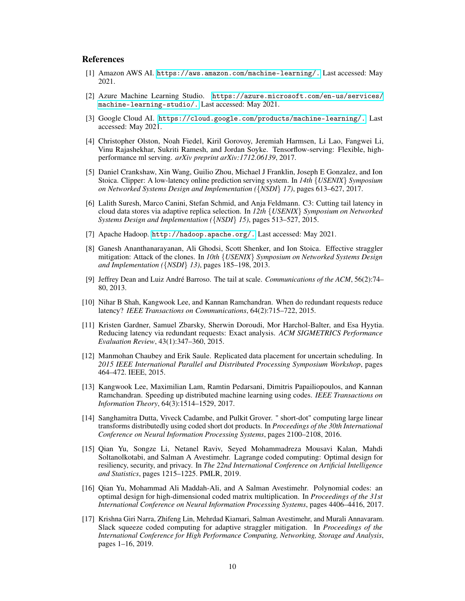## References

- <span id="page-9-0"></span>[1] Amazon AWS AI. [https://aws.amazon.com/machine-learning/.](https://aws.amazon.com/ machine-learning/.) Last accessed: May 2021.
- [2] Azure Machine Learning Studio. [https://azure.microsoft.com/en-us/services/](https://azure.microsoft.com/ en-us/services/machine-learning-studio/.) [machine-learning-studio/.](https://azure.microsoft.com/ en-us/services/machine-learning-studio/.) Last accessed: May 2021.
- [3] Google Cloud AI. [https://cloud.google.com/products/machine-learning/.](https://cloud.google.com/products/ machine-learning/.) Last accessed: May 2021.
- <span id="page-9-1"></span>[4] Christopher Olston, Noah Fiedel, Kiril Gorovoy, Jeremiah Harmsen, Li Lao, Fangwei Li, Vinu Rajashekhar, Sukriti Ramesh, and Jordan Soyke. Tensorflow-serving: Flexible, highperformance ml serving. *arXiv preprint arXiv:1712.06139*, 2017.
- <span id="page-9-2"></span>[5] Daniel Crankshaw, Xin Wang, Guilio Zhou, Michael J Franklin, Joseph E Gonzalez, and Ion Stoica. Clipper: A low-latency online prediction serving system. In *14th* {*USENIX*} *Symposium on Networked Systems Design and Implementation (*{*NSDI*} *17)*, pages 613–627, 2017.
- <span id="page-9-3"></span>[6] Lalith Suresh, Marco Canini, Stefan Schmid, and Anja Feldmann. C3: Cutting tail latency in cloud data stores via adaptive replica selection. In *12th* {*USENIX*} *Symposium on Networked Systems Design and Implementation (*{*NSDI*} *15)*, pages 513–527, 2015.
- <span id="page-9-7"></span>[7] Apache Hadoop. <http://hadoop.apache.org/.> Last accessed: May 2021.
- [8] Ganesh Ananthanarayanan, Ali Ghodsi, Scott Shenker, and Ion Stoica. Effective straggler mitigation: Attack of the clones. In *10th* {*USENIX*} *Symposium on Networked Systems Design and Implementation (*{*NSDI*} *13)*, pages 185–198, 2013.
- <span id="page-9-6"></span>[9] Jeffrey Dean and Luiz André Barroso. The tail at scale. *Communications of the ACM*, 56(2):74– 80, 2013.
- [10] Nihar B Shah, Kangwook Lee, and Kannan Ramchandran. When do redundant requests reduce latency? *IEEE Transactions on Communications*, 64(2):715–722, 2015.
- [11] Kristen Gardner, Samuel Zbarsky, Sherwin Doroudi, Mor Harchol-Balter, and Esa Hyytia. Reducing latency via redundant requests: Exact analysis. *ACM SIGMETRICS Performance Evaluation Review*, 43(1):347–360, 2015.
- <span id="page-9-4"></span>[12] Manmohan Chaubey and Erik Saule. Replicated data placement for uncertain scheduling. In *2015 IEEE International Parallel and Distributed Processing Symposium Workshop*, pages 464–472. IEEE, 2015.
- <span id="page-9-5"></span>[13] Kangwook Lee, Maximilian Lam, Ramtin Pedarsani, Dimitris Papailiopoulos, and Kannan Ramchandran. Speeding up distributed machine learning using codes. *IEEE Transactions on Information Theory*, 64(3):1514–1529, 2017.
- <span id="page-9-9"></span>[14] Sanghamitra Dutta, Viveck Cadambe, and Pulkit Grover. " short-dot" computing large linear transforms distributedly using coded short dot products. In *Proceedings of the 30th International Conference on Neural Information Processing Systems*, pages 2100–2108, 2016.
- <span id="page-9-10"></span>[15] Qian Yu, Songze Li, Netanel Raviv, Seyed Mohammadreza Mousavi Kalan, Mahdi Soltanolkotabi, and Salman A Avestimehr. Lagrange coded computing: Optimal design for resiliency, security, and privacy. In *The 22nd International Conference on Artificial Intelligence and Statistics*, pages 1215–1225. PMLR, 2019.
- <span id="page-9-8"></span>[16] Qian Yu, Mohammad Ali Maddah-Ali, and A Salman Avestimehr. Polynomial codes: an optimal design for high-dimensional coded matrix multiplication. In *Proceedings of the 31st International Conference on Neural Information Processing Systems*, pages 4406–4416, 2017.
- [17] Krishna Giri Narra, Zhifeng Lin, Mehrdad Kiamari, Salman Avestimehr, and Murali Annavaram. Slack squeeze coded computing for adaptive straggler mitigation. In *Proceedings of the International Conference for High Performance Computing, Networking, Storage and Analysis*, pages 1–16, 2019.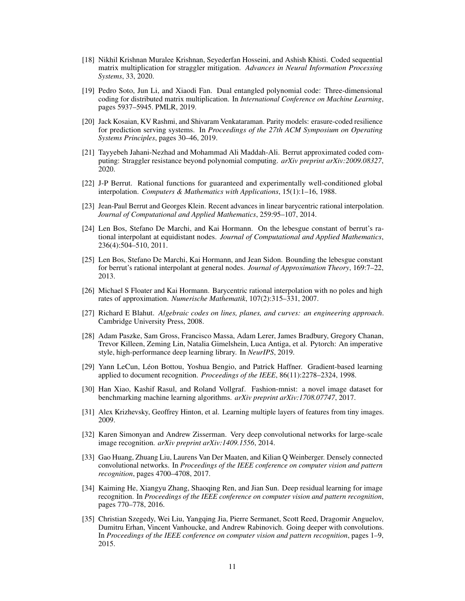- [18] Nikhil Krishnan Muralee Krishnan, Seyederfan Hosseini, and Ashish Khisti. Coded sequential matrix multiplication for straggler mitigation. *Advances in Neural Information Processing Systems*, 33, 2020.
- <span id="page-10-0"></span>[19] Pedro Soto, Jun Li, and Xiaodi Fan. Dual entangled polynomial code: Three-dimensional coding for distributed matrix multiplication. In *International Conference on Machine Learning*, pages 5937–5945. PMLR, 2019.
- <span id="page-10-1"></span>[20] Jack Kosaian, KV Rashmi, and Shivaram Venkataraman. Parity models: erasure-coded resilience for prediction serving systems. In *Proceedings of the 27th ACM Symposium on Operating Systems Principles*, pages 30–46, 2019.
- <span id="page-10-2"></span>[21] Tayyebeh Jahani-Nezhad and Mohammad Ali Maddah-Ali. Berrut approximated coded computing: Straggler resistance beyond polynomial computing. *arXiv preprint arXiv:2009.08327*, 2020.
- <span id="page-10-3"></span>[22] J-P Berrut. Rational functions for guaranteed and experimentally well-conditioned global interpolation. *Computers & Mathematics with Applications*, 15(1):1–16, 1988.
- <span id="page-10-4"></span>[23] Jean-Paul Berrut and Georges Klein. Recent advances in linear barycentric rational interpolation. *Journal of Computational and Applied Mathematics*, 259:95–107, 2014.
- <span id="page-10-5"></span>[24] Len Bos, Stefano De Marchi, and Kai Hormann. On the lebesgue constant of berrut's rational interpolant at equidistant nodes. *Journal of Computational and Applied Mathematics*, 236(4):504–510, 2011.
- <span id="page-10-6"></span>[25] Len Bos, Stefano De Marchi, Kai Hormann, and Jean Sidon. Bounding the lebesgue constant for berrut's rational interpolant at general nodes. *Journal of Approximation Theory*, 169:7–22, 2013.
- <span id="page-10-7"></span>[26] Michael S Floater and Kai Hormann. Barycentric rational interpolation with no poles and high rates of approximation. *Numerische Mathematik*, 107(2):315–331, 2007.
- <span id="page-10-8"></span>[27] Richard E Blahut. *Algebraic codes on lines, planes, and curves: an engineering approach*. Cambridge University Press, 2008.
- <span id="page-10-9"></span>[28] Adam Paszke, Sam Gross, Francisco Massa, Adam Lerer, James Bradbury, Gregory Chanan, Trevor Killeen, Zeming Lin, Natalia Gimelshein, Luca Antiga, et al. Pytorch: An imperative style, high-performance deep learning library. In *NeurIPS*, 2019.
- <span id="page-10-10"></span>[29] Yann LeCun, Léon Bottou, Yoshua Bengio, and Patrick Haffner. Gradient-based learning applied to document recognition. *Proceedings of the IEEE*, 86(11):2278–2324, 1998.
- <span id="page-10-11"></span>[30] Han Xiao, Kashif Rasul, and Roland Vollgraf. Fashion-mnist: a novel image dataset for benchmarking machine learning algorithms. *arXiv preprint arXiv:1708.07747*, 2017.
- <span id="page-10-12"></span>[31] Alex Krizhevsky, Geoffrey Hinton, et al. Learning multiple layers of features from tiny images. 2009.
- <span id="page-10-13"></span>[32] Karen Simonyan and Andrew Zisserman. Very deep convolutional networks for large-scale image recognition. *arXiv preprint arXiv:1409.1556*, 2014.
- <span id="page-10-14"></span>[33] Gao Huang, Zhuang Liu, Laurens Van Der Maaten, and Kilian Q Weinberger. Densely connected convolutional networks. In *Proceedings of the IEEE conference on computer vision and pattern recognition*, pages 4700–4708, 2017.
- <span id="page-10-15"></span>[34] Kaiming He, Xiangyu Zhang, Shaoqing Ren, and Jian Sun. Deep residual learning for image recognition. In *Proceedings of the IEEE conference on computer vision and pattern recognition*, pages 770–778, 2016.
- <span id="page-10-16"></span>[35] Christian Szegedy, Wei Liu, Yangqing Jia, Pierre Sermanet, Scott Reed, Dragomir Anguelov, Dumitru Erhan, Vincent Vanhoucke, and Andrew Rabinovich. Going deeper with convolutions. In *Proceedings of the IEEE conference on computer vision and pattern recognition*, pages 1–9, 2015.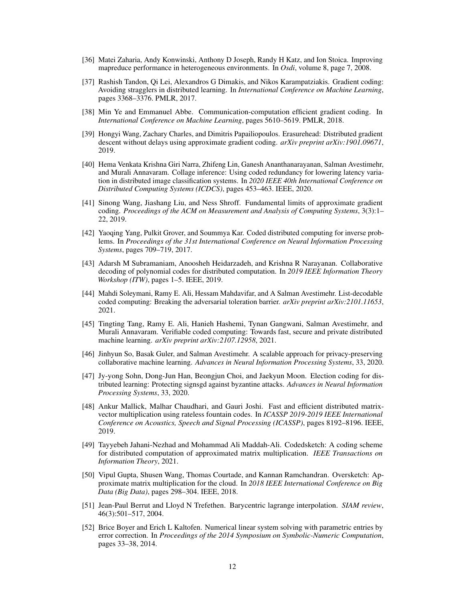- <span id="page-11-0"></span>[36] Matei Zaharia, Andy Konwinski, Anthony D Joseph, Randy H Katz, and Ion Stoica. Improving mapreduce performance in heterogeneous environments. In *Osdi*, volume 8, page 7, 2008.
- <span id="page-11-1"></span>[37] Rashish Tandon, Qi Lei, Alexandros G Dimakis, and Nikos Karampatziakis. Gradient coding: Avoiding stragglers in distributed learning. In *International Conference on Machine Learning*, pages 3368–3376. PMLR, 2017.
- <span id="page-11-2"></span>[38] Min Ye and Emmanuel Abbe. Communication-computation efficient gradient coding. In *International Conference on Machine Learning*, pages 5610–5619. PMLR, 2018.
- <span id="page-11-3"></span>[39] Hongyi Wang, Zachary Charles, and Dimitris Papailiopoulos. Erasurehead: Distributed gradient descent without delays using approximate gradient coding. *arXiv preprint arXiv:1901.09671*, 2019.
- <span id="page-11-4"></span>[40] Hema Venkata Krishna Giri Narra, Zhifeng Lin, Ganesh Ananthanarayanan, Salman Avestimehr, and Murali Annavaram. Collage inference: Using coded redundancy for lowering latency variation in distributed image classification systems. In *2020 IEEE 40th International Conference on Distributed Computing Systems (ICDCS)*, pages 453–463. IEEE, 2020.
- <span id="page-11-5"></span>[41] Sinong Wang, Jiashang Liu, and Ness Shroff. Fundamental limits of approximate gradient coding. *Proceedings of the ACM on Measurement and Analysis of Computing Systems*, 3(3):1– 22, 2019.
- <span id="page-11-6"></span>[42] Yaoqing Yang, Pulkit Grover, and Soummya Kar. Coded distributed computing for inverse problems. In *Proceedings of the 31st International Conference on Neural Information Processing Systems*, pages 709–719, 2017.
- <span id="page-11-7"></span>[43] Adarsh M Subramaniam, Anoosheh Heidarzadeh, and Krishna R Narayanan. Collaborative decoding of polynomial codes for distributed computation. In *2019 IEEE Information Theory Workshop (ITW)*, pages 1–5. IEEE, 2019.
- [44] Mahdi Soleymani, Ramy E. Ali, Hessam Mahdavifar, and A Salman Avestimehr. List-decodable coded computing: Breaking the adversarial toleration barrier. *arXiv preprint arXiv:2101.11653*, 2021.
- [45] Tingting Tang, Ramy E. Ali, Hanieh Hashemi, Tynan Gangwani, Salman Avestimehr, and Murali Annavaram. Verifiable coded computing: Towards fast, secure and private distributed machine learning. *arXiv preprint arXiv:2107.12958*, 2021.
- <span id="page-11-9"></span>[46] Jinhyun So, Basak Guler, and Salman Avestimehr. A scalable approach for privacy-preserving collaborative machine learning. *Advances in Neural Information Processing Systems*, 33, 2020.
- [47] Jy-yong Sohn, Dong-Jun Han, Beongjun Choi, and Jaekyun Moon. Election coding for distributed learning: Protecting signsgd against byzantine attacks. *Advances in Neural Information Processing Systems*, 33, 2020.
- <span id="page-11-8"></span>[48] Ankur Mallick, Malhar Chaudhari, and Gauri Joshi. Fast and efficient distributed matrixvector multiplication using rateless fountain codes. In *ICASSP 2019-2019 IEEE International Conference on Acoustics, Speech and Signal Processing (ICASSP)*, pages 8192–8196. IEEE, 2019.
- <span id="page-11-10"></span>[49] Tayyebeh Jahani-Nezhad and Mohammad Ali Maddah-Ali. Codedsketch: A coding scheme for distributed computation of approximated matrix multiplication. *IEEE Transactions on Information Theory*, 2021.
- <span id="page-11-11"></span>[50] Vipul Gupta, Shusen Wang, Thomas Courtade, and Kannan Ramchandran. Oversketch: Approximate matrix multiplication for the cloud. In *2018 IEEE International Conference on Big Data (Big Data)*, pages 298–304. IEEE, 2018.
- <span id="page-11-12"></span>[51] Jean-Paul Berrut and Lloyd N Trefethen. Barycentric lagrange interpolation. *SIAM review*, 46(3):501–517, 2004.
- <span id="page-11-13"></span>[52] Brice Boyer and Erich L Kaltofen. Numerical linear system solving with parametric entries by error correction. In *Proceedings of the 2014 Symposium on Symbolic-Numeric Computation*, pages 33–38, 2014.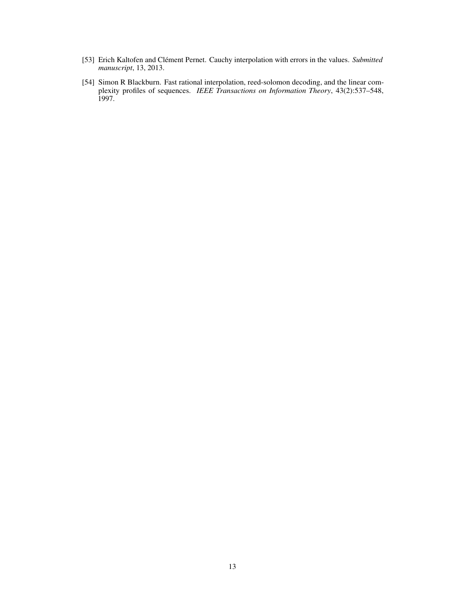- [53] Erich Kaltofen and Clément Pernet. Cauchy interpolation with errors in the values. *Submitted manuscript*, 13, 2013.
- <span id="page-12-0"></span>[54] Simon R Blackburn. Fast rational interpolation, reed-solomon decoding, and the linear complexity profiles of sequences. *IEEE Transactions on Information Theory*, 43(2):537–548, 1997.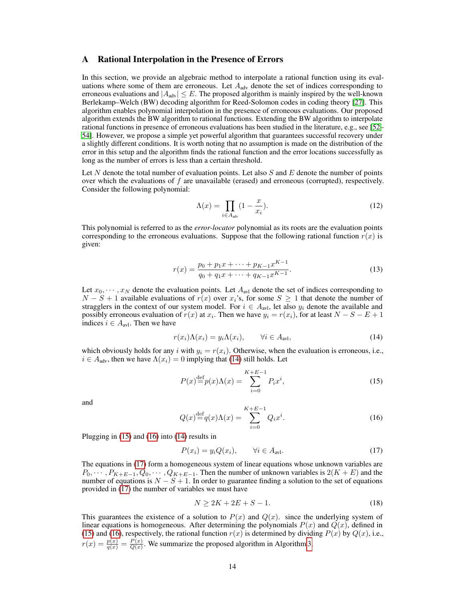## <span id="page-13-0"></span>A Rational Interpolation in the Presence of Errors

In this section, we provide an algebraic method to interpolate a rational function using its evaluations where some of them are erroneous. Let  $A_{\text{adv}}$  denote the set of indices corresponding to erroneous evaluations and  $|A_{adv}| \leq E$ . The proposed algorithm is mainly inspired by the well-known Berlekamp–Welch (BW) decoding algorithm for Reed-Solomon codes in coding theory [\[27\]](#page-10-8). This algorithm enables polynomial interpolation in the presence of erroneous evaluations. Our proposed algorithm extends the BW algorithm to rational functions. Extending the BW algorithm to interpolate rational functions in presence of erroneous evaluations has been studied in the literature, e.g., see [\[52–](#page-11-13) [54\]](#page-12-0). However, we propose a simple yet powerful algorithm that guarantees successful recovery under a slightly different conditions. It is worth noting that no assumption is made on the distribution of the error in this setup and the algorithm finds the rational function and the error locations successfully as long as the number of errors is less than a certain threshold.

Let  $N$  denote the total number of evaluation points. Let also  $S$  and  $E$  denote the number of points over which the evaluations of f are unavailable (erased) and erroneous (corrupted), respectively. Consider the following polynomial:

$$
\Lambda(x) = \prod_{i \in A_{\text{adv}}} \left(1 - \frac{x}{x_i}\right). \tag{12}
$$

This polynomial is referred to as the *error-locator* polynomial as its roots are the evaluation points corresponding to the erroneous evaluations. Suppose that the following rational function  $r(x)$  is given:

$$
r(x) = \frac{p_0 + p_1 x + \dots + p_{K-1} x^{K-1}}{q_0 + q_1 x + \dots + q_{K-1} x^{K-1}}.
$$
\n(13)

Let  $x_0, \dots, x_N$  denote the evaluation points. Let  $A_{\text{avl}}$  denote the set of indices corresponding to  $N-S+1$  available evaluations of  $r(x)$  over  $x_i$ 's, for some  $S\geq 1$  that denote the number of stragglers in the context of our system model. For  $i \in A_{\text{avl}}$ , let also  $y_i$  denote the available and possibly erroneous evaluation of  $r(x)$  at  $x_i$ . Then we have  $y_i = r(x_i)$ , for at least  $N - S - E + 1$ indices  $i \in A_{\text{avl}}$ . Then we have

<span id="page-13-1"></span>
$$
r(x_i)\Lambda(x_i) = y_i\Lambda(x_i), \qquad \forall i \in A_{\text{av1}}, \tag{14}
$$

which obviously holds for any i with  $y_i = r(x_i)$ . Otherwise, when the evaluation is erroneous, i.e.,  $i \in A_{adv}$ , then we have  $\Lambda(x_i) = 0$  implying that [\(14\)](#page-13-1) still holds. Let

<span id="page-13-2"></span>
$$
P(x) \stackrel{\text{def}}{=} p(x)\Lambda(x) = \sum_{i=0}^{K+E-1} P_i x^i,
$$
 (15)

<span id="page-13-3"></span>and

$$
Q(x) \stackrel{\text{def}}{=} q(x)\Lambda(x) = \sum_{i=0}^{K+E-1} Q_i x^i.
$$
 (16)

Plugging in [\(15\)](#page-13-2) and [\(16\)](#page-13-3) into [\(14\)](#page-13-1) results in

<span id="page-13-4"></span>
$$
P(x_i) = y_i Q(x_i), \qquad \forall i \in A_{\text{avl}}.\tag{17}
$$

The equations in [\(17\)](#page-13-4) form a homogeneous system of linear equations whose unknown variables are  $P_0, \dots, P_{K+E-1}, Q_0, \dots, Q_{K+E-1}$ . Then the number of unknown variables is  $2(K+E)$  and the number of equations is  $N - S + 1$ . In order to guarantee finding a solution to the set of equations provided in [\(17\)](#page-13-4) the number of variables we must have

<span id="page-13-5"></span>
$$
N \ge 2K + 2E + S - 1. \tag{18}
$$

This guarantees the existence of a solution to  $P(x)$  and  $Q(x)$ . since the underlying system of linear equations is homogeneous. After determining the polynomials  $P(x)$  and  $Q(x)$ , defined in [\(15\)](#page-13-2) and [\(16\)](#page-13-3), respectively, the rational function  $r(x)$  is determined by dividing  $P(x)$  by  $Q(x)$ , i.e.,  $r(x) = \frac{p(x)}{q(x)} = \frac{P(x)}{Q(x)}$  $\frac{P(x)}{Q(x)}$ . We summarize the proposed algorithm in Algorithm [3.](#page-14-1)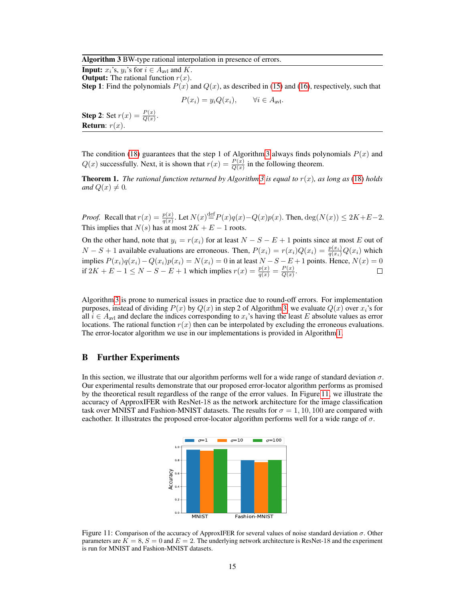#### Algorithm 3 BW-type rational interpolation in presence of errors.

**Input:**  $x_i$ 's,  $y_i$ 's for  $i \in A_{\text{avl}}$  and K.

**Output:** The rational function  $r(x)$ .

**Step 1**: Find the polynomials  $P(x)$  and  $Q(x)$ , as described in [\(15\)](#page-13-2) and [\(16\)](#page-13-3), respectively, such that

 $P(x_i) = y_i Q(x_i), \quad \forall i \in A_{\text{avl}}.$ 

<span id="page-14-1"></span>**Step 2:** Set  $r(x) = \frac{P(x)}{Q(x)}$ . Return:  $r(x)$ .

The condition [\(18\)](#page-13-5) guarantees that the step 1 of Algorithm [3](#page-14-1) always finds polynomials  $P(x)$  and  $Q(x)$  successfully. Next, it is shown that  $r(x) = \frac{P(x)}{Q(x)}$  in the following theorem.

**Theorem 1.** *The rational function returned by Algorithm* [3](#page-14-1) *is equal to*  $r(x)$ *, as long as* [\(18\)](#page-13-5) *holds and*  $Q(x) \neq 0$ *.* 

*Proof.* Recall that  $r(x) = \frac{p(x)}{q(x)}$ . Let  $N(x) \stackrel{\text{def}}{=} P(x)q(x) - Q(x)p(x)$ . Then,  $\deg(N(x)) \le 2K + E - 2$ . This implies that  $N(s)$  has at most  $2K + E - 1$  roots.

On the other hand, note that  $y_i = r(x_i)$  for at least  $N - S - E + 1$  points since at most E out of  $N-S+1$  available evaluations are erroneous. Then,  $P(x_i) = r(x_i)Q(x_i) = \frac{p(x_i)}{q(x_i)}Q(x_i)$  which implies  $P(x_i)q(x_i) - Q(x_i)p(x_i) = N(x_i) = 0$  in at least  $N-S-E+1$  points. Hence,  $N(x) = 0$ if  $2K + E - 1 \le N - S - E + 1$  which implies  $r(x) = \frac{p(x)}{q(x)} = \frac{P(x)}{Q(x)}$  $rac{P(x)}{Q(x)}$ .

Algorithm [3](#page-14-1) is prone to numerical issues in practice due to round-off errors. For implementation purposes, instead of dividing  $P(x)$  by  $Q(x)$  in step 2 of Algorithm [3,](#page-14-1) we evaluate  $Q(x)$  over  $x_i$ 's for all  $i \in A_{\text{avl}}$  and declare the indices corresponding to  $x_i$ 's having the least E absolute values as error locations. The rational function  $r(x)$  then can be interpolated by excluding the erroneous evaluations. The error-locator algorithm we use in our implementations is provided in Algorithm [1.](#page-4-0)

## <span id="page-14-0"></span>B Further Experiments

In this section, we illustrate that our algorithm performs well for a wide range of standard deviation  $\sigma$ . Our experimental results demonstrate that our proposed error-locator algorithm performs as promised by the theoretical result regardless of the range of the error values. In Figure [11,](#page-14-2) we illustrate the accuracy of ApproxIFER with ResNet-18 as the network architecture for the image classification task over MNIST and Fashion-MNIST datasets. The results for  $\sigma = 1, 10, 100$  are compared with eachother. It illustrates the proposed error-locator algorithm performs well for a wide range of  $\sigma$ .



<span id="page-14-2"></span>Figure 11: Comparison of the accuracy of ApproxIFER for several values of noise standard deviation  $\sigma$ . Other parameters are  $K = 8$ ,  $S = 0$  and  $E = 2$ . The underlying network architecture is ResNet-18 and the experiment is run for MNIST and Fashion-MNIST datasets.